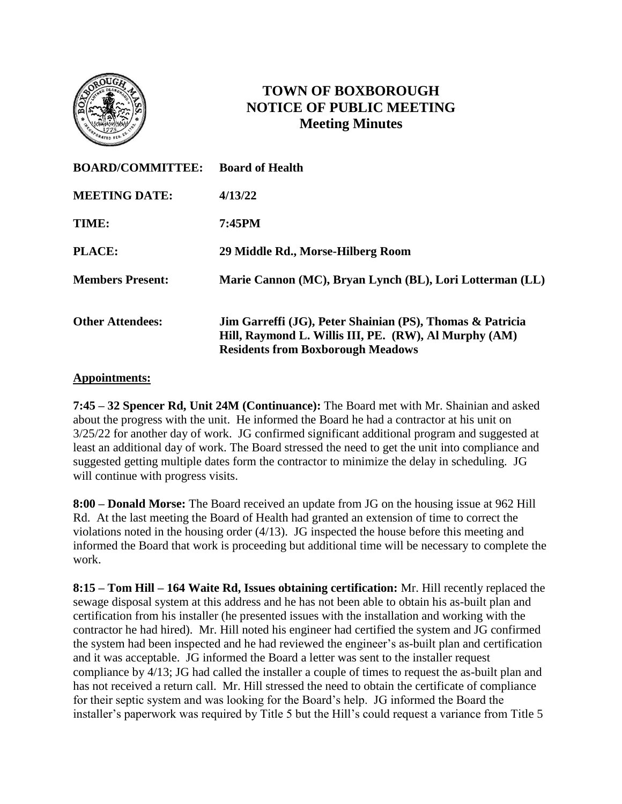

# **TOWN OF BOXBOROUGH NOTICE OF PUBLIC MEETING Meeting Minutes**

| <b>BOARD/COMMITTEE:</b> | <b>Board of Health</b>                                                                                                                                         |
|-------------------------|----------------------------------------------------------------------------------------------------------------------------------------------------------------|
| <b>MEETING DATE:</b>    | 4/13/22                                                                                                                                                        |
| TIME:                   | 7:45PM                                                                                                                                                         |
| <b>PLACE:</b>           | 29 Middle Rd., Morse-Hilberg Room                                                                                                                              |
| <b>Members Present:</b> | Marie Cannon (MC), Bryan Lynch (BL), Lori Lotterman (LL)                                                                                                       |
| <b>Other Attendees:</b> | Jim Garreffi (JG), Peter Shainian (PS), Thomas & Patricia<br>Hill, Raymond L. Willis III, PE. (RW), Al Murphy (AM)<br><b>Residents from Boxborough Meadows</b> |

#### **Appointments:**

**7:45 – 32 Spencer Rd, Unit 24M (Continuance):** The Board met with Mr. Shainian and asked about the progress with the unit. He informed the Board he had a contractor at his unit on 3/25/22 for another day of work. JG confirmed significant additional program and suggested at least an additional day of work. The Board stressed the need to get the unit into compliance and suggested getting multiple dates form the contractor to minimize the delay in scheduling. JG will continue with progress visits.

**8:00 – Donald Morse:** The Board received an update from JG on the housing issue at 962 Hill Rd. At the last meeting the Board of Health had granted an extension of time to correct the violations noted in the housing order (4/13). JG inspected the house before this meeting and informed the Board that work is proceeding but additional time will be necessary to complete the work.

**8:15 – Tom Hill – 164 Waite Rd, Issues obtaining certification:** Mr. Hill recently replaced the sewage disposal system at this address and he has not been able to obtain his as-built plan and certification from his installer (he presented issues with the installation and working with the contractor he had hired). Mr. Hill noted his engineer had certified the system and JG confirmed the system had been inspected and he had reviewed the engineer's as-built plan and certification and it was acceptable. JG informed the Board a letter was sent to the installer request compliance by 4/13; JG had called the installer a couple of times to request the as-built plan and has not received a return call. Mr. Hill stressed the need to obtain the certificate of compliance for their septic system and was looking for the Board's help. JG informed the Board the installer's paperwork was required by Title 5 but the Hill's could request a variance from Title 5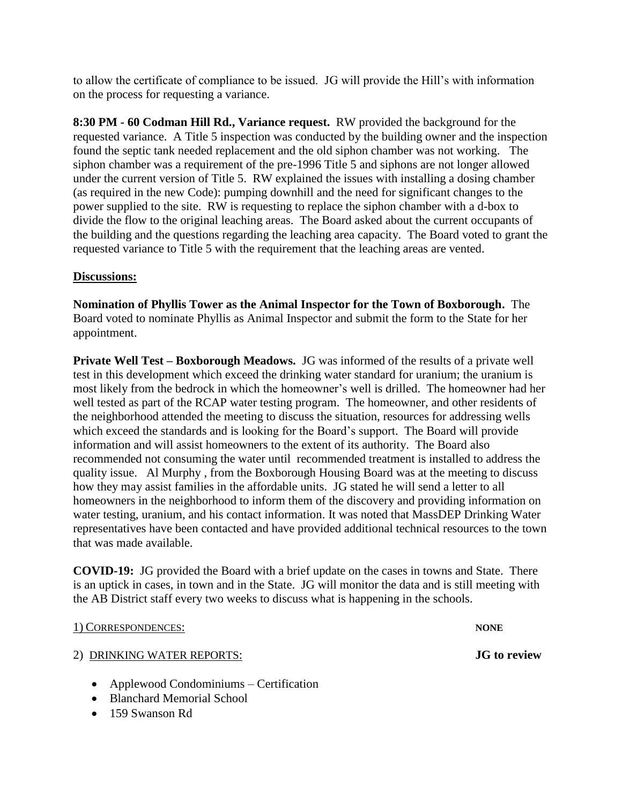to allow the certificate of compliance to be issued. JG will provide the Hill's with information on the process for requesting a variance.

**8:30 PM - 60 Codman Hill Rd., Variance request.** RW provided the background for the requested variance. A Title 5 inspection was conducted by the building owner and the inspection found the septic tank needed replacement and the old siphon chamber was not working. The siphon chamber was a requirement of the pre-1996 Title 5 and siphons are not longer allowed under the current version of Title 5. RW explained the issues with installing a dosing chamber (as required in the new Code): pumping downhill and the need for significant changes to the power supplied to the site. RW is requesting to replace the siphon chamber with a d-box to divide the flow to the original leaching areas. The Board asked about the current occupants of the building and the questions regarding the leaching area capacity. The Board voted to grant the requested variance to Title 5 with the requirement that the leaching areas are vented.

#### **Discussions:**

**Nomination of Phyllis Tower as the Animal Inspector for the Town of Boxborough.** The Board voted to nominate Phyllis as Animal Inspector and submit the form to the State for her appointment.

**Private Well Test – Boxborough Meadows.** JG was informed of the results of a private well test in this development which exceed the drinking water standard for uranium; the uranium is most likely from the bedrock in which the homeowner's well is drilled. The homeowner had her well tested as part of the RCAP water testing program. The homeowner, and other residents of the neighborhood attended the meeting to discuss the situation, resources for addressing wells which exceed the standards and is looking for the Board's support. The Board will provide information and will assist homeowners to the extent of its authority. The Board also recommended not consuming the water until recommended treatment is installed to address the quality issue. Al Murphy , from the Boxborough Housing Board was at the meeting to discuss how they may assist families in the affordable units. JG stated he will send a letter to all homeowners in the neighborhood to inform them of the discovery and providing information on water testing, uranium, and his contact information. It was noted that MassDEP Drinking Water representatives have been contacted and have provided additional technical resources to the town that was made available.

**COVID-19:** JG provided the Board with a brief update on the cases in towns and State. There is an uptick in cases, in town and in the State. JG will monitor the data and is still meeting with the AB District staff every two weeks to discuss what is happening in the schools.

1) CORRESPONDENCES: **NONE**

### 2) DRINKING WATER REPORTS: **JG to review**

- Applewood Condominiums Certification
- Blanchard Memorial School
- 159 Swanson Rd